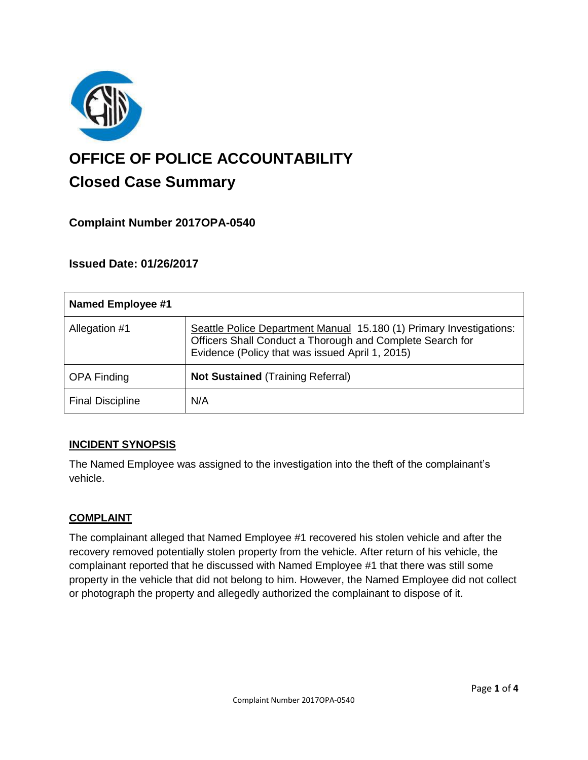

# **OFFICE OF POLICE ACCOUNTABILITY**

# **Closed Case Summary**

## **Complaint Number 2017OPA-0540**

### **Issued Date: 01/26/2017**

| <b>Named Employee #1</b> |                                                                                                                                                                                     |
|--------------------------|-------------------------------------------------------------------------------------------------------------------------------------------------------------------------------------|
| Allegation #1            | Seattle Police Department Manual 15.180 (1) Primary Investigations:<br>Officers Shall Conduct a Thorough and Complete Search for<br>Evidence (Policy that was issued April 1, 2015) |
| <b>OPA Finding</b>       | <b>Not Sustained (Training Referral)</b>                                                                                                                                            |
| <b>Final Discipline</b>  | N/A                                                                                                                                                                                 |

#### **INCIDENT SYNOPSIS**

The Named Employee was assigned to the investigation into the theft of the complainant's vehicle.

#### **COMPLAINT**

The complainant alleged that Named Employee #1 recovered his stolen vehicle and after the recovery removed potentially stolen property from the vehicle. After return of his vehicle, the complainant reported that he discussed with Named Employee #1 that there was still some property in the vehicle that did not belong to him. However, the Named Employee did not collect or photograph the property and allegedly authorized the complainant to dispose of it.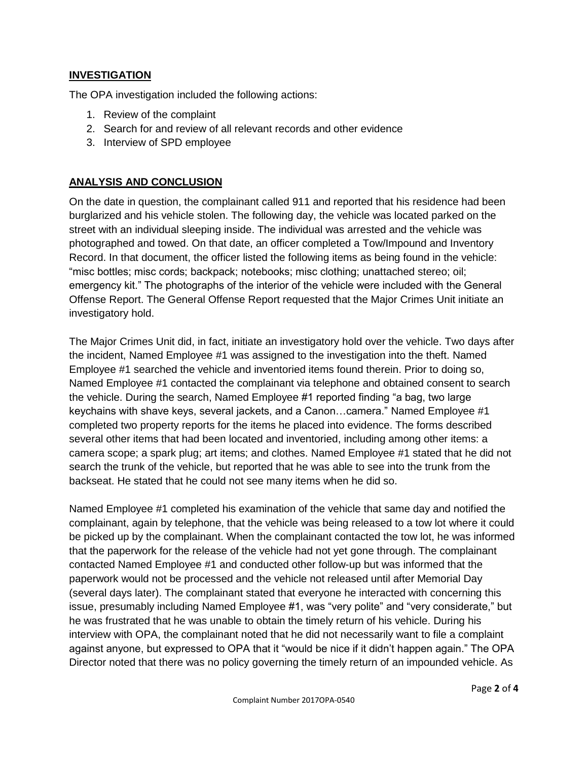#### **INVESTIGATION**

The OPA investigation included the following actions:

- 1. Review of the complaint
- 2. Search for and review of all relevant records and other evidence
- 3. Interview of SPD employee

#### **ANALYSIS AND CONCLUSION**

On the date in question, the complainant called 911 and reported that his residence had been burglarized and his vehicle stolen. The following day, the vehicle was located parked on the street with an individual sleeping inside. The individual was arrested and the vehicle was photographed and towed. On that date, an officer completed a Tow/Impound and Inventory Record. In that document, the officer listed the following items as being found in the vehicle: "misc bottles; misc cords; backpack; notebooks; misc clothing; unattached stereo; oil; emergency kit." The photographs of the interior of the vehicle were included with the General Offense Report. The General Offense Report requested that the Major Crimes Unit initiate an investigatory hold.

The Major Crimes Unit did, in fact, initiate an investigatory hold over the vehicle. Two days after the incident, Named Employee #1 was assigned to the investigation into the theft. Named Employee #1 searched the vehicle and inventoried items found therein. Prior to doing so, Named Employee #1 contacted the complainant via telephone and obtained consent to search the vehicle. During the search, Named Employee #1 reported finding "a bag, two large keychains with shave keys, several jackets, and a Canon…camera." Named Employee #1 completed two property reports for the items he placed into evidence. The forms described several other items that had been located and inventoried, including among other items: a camera scope; a spark plug; art items; and clothes. Named Employee #1 stated that he did not search the trunk of the vehicle, but reported that he was able to see into the trunk from the backseat. He stated that he could not see many items when he did so.

Named Employee #1 completed his examination of the vehicle that same day and notified the complainant, again by telephone, that the vehicle was being released to a tow lot where it could be picked up by the complainant. When the complainant contacted the tow lot, he was informed that the paperwork for the release of the vehicle had not yet gone through. The complainant contacted Named Employee #1 and conducted other follow-up but was informed that the paperwork would not be processed and the vehicle not released until after Memorial Day (several days later). The complainant stated that everyone he interacted with concerning this issue, presumably including Named Employee #1, was "very polite" and "very considerate," but he was frustrated that he was unable to obtain the timely return of his vehicle. During his interview with OPA, the complainant noted that he did not necessarily want to file a complaint against anyone, but expressed to OPA that it "would be nice if it didn't happen again." The OPA Director noted that there was no policy governing the timely return of an impounded vehicle. As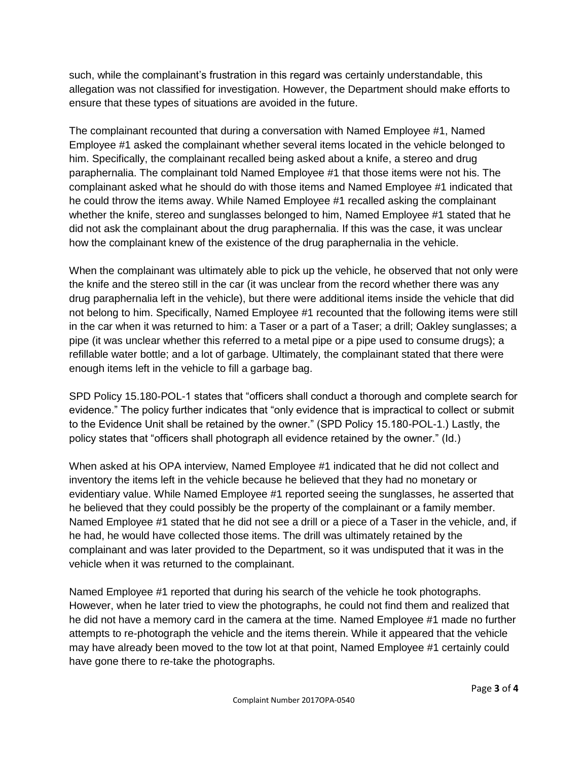such, while the complainant's frustration in this regard was certainly understandable, this allegation was not classified for investigation. However, the Department should make efforts to ensure that these types of situations are avoided in the future.

The complainant recounted that during a conversation with Named Employee #1, Named Employee #1 asked the complainant whether several items located in the vehicle belonged to him. Specifically, the complainant recalled being asked about a knife, a stereo and drug paraphernalia. The complainant told Named Employee #1 that those items were not his. The complainant asked what he should do with those items and Named Employee #1 indicated that he could throw the items away. While Named Employee #1 recalled asking the complainant whether the knife, stereo and sunglasses belonged to him, Named Employee #1 stated that he did not ask the complainant about the drug paraphernalia. If this was the case, it was unclear how the complainant knew of the existence of the drug paraphernalia in the vehicle.

When the complainant was ultimately able to pick up the vehicle, he observed that not only were the knife and the stereo still in the car (it was unclear from the record whether there was any drug paraphernalia left in the vehicle), but there were additional items inside the vehicle that did not belong to him. Specifically, Named Employee #1 recounted that the following items were still in the car when it was returned to him: a Taser or a part of a Taser; a drill; Oakley sunglasses; a pipe (it was unclear whether this referred to a metal pipe or a pipe used to consume drugs); a refillable water bottle; and a lot of garbage. Ultimately, the complainant stated that there were enough items left in the vehicle to fill a garbage bag.

SPD Policy 15.180-POL-1 states that "officers shall conduct a thorough and complete search for evidence." The policy further indicates that "only evidence that is impractical to collect or submit to the Evidence Unit shall be retained by the owner." (SPD Policy 15.180-POL-1.) Lastly, the policy states that "officers shall photograph all evidence retained by the owner." (Id.)

When asked at his OPA interview, Named Employee #1 indicated that he did not collect and inventory the items left in the vehicle because he believed that they had no monetary or evidentiary value. While Named Employee #1 reported seeing the sunglasses, he asserted that he believed that they could possibly be the property of the complainant or a family member. Named Employee #1 stated that he did not see a drill or a piece of a Taser in the vehicle, and, if he had, he would have collected those items. The drill was ultimately retained by the complainant and was later provided to the Department, so it was undisputed that it was in the vehicle when it was returned to the complainant.

Named Employee #1 reported that during his search of the vehicle he took photographs. However, when he later tried to view the photographs, he could not find them and realized that he did not have a memory card in the camera at the time. Named Employee #1 made no further attempts to re-photograph the vehicle and the items therein. While it appeared that the vehicle may have already been moved to the tow lot at that point, Named Employee #1 certainly could have gone there to re-take the photographs.